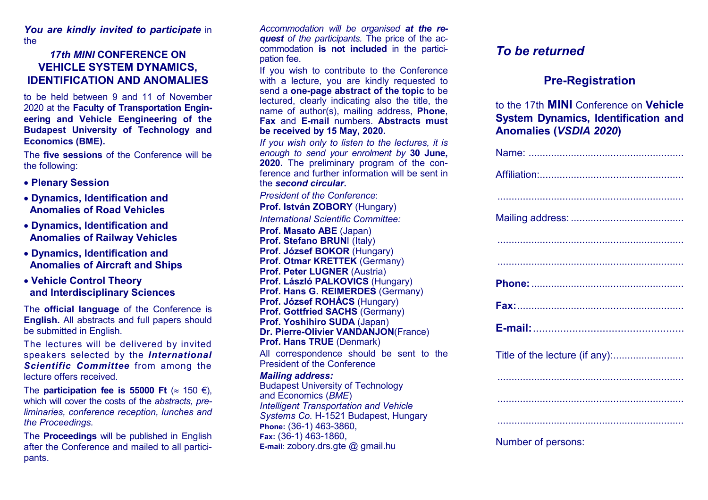*You are kindly invited to participate* in the

### *17th MINI* **CONFERENCE ON VEHICLE SYSTEM DYNAMICS, IDENTIFICATION AND ANOMALIES**

 to be held between 9 and 11 of November 2020 at the **Faculty of Transportation Engineering and Vehicle Eengineering of the Budapest University of Technology and Economics (BME).** 

The **five sessions** of the Conference will be the following:

- **Plenary Session**
- **Dynamics, Identification and Anomalies of Road Vehicles**
- **Dynamics, Identification and Anomalies of Railway Vehicles**
- **Dynamics, Identification and Anomalies of Aircraft and Ships**
- **Vehicle Control Theory and Interdisciplinary Sciences**

The **official language** of the Conference is **English.** All abstracts and full papers should be submitted in English.

The lectures will be delivered by invited speakers selected by the *International Scientific Committee* from among the lecture offers received.

The **participation fee is 55000 Ft**  $(\approx 150 \text{ } \epsilon)$ , which will cover the costs of the *abstracts, preliminaries, conference reception, lunches and the Proceedings.* 

The **Proceedings** will be published in English after the Conference and mailed to all participants.

*Accommodation will be organised at the request of the participants.* The price of the accommodation **is not included** in the participation fee.

If you wish to contribute to the Conference with a lecture, you are kindly requested to send a **one-page abstract of the topic** to be lectured, clearly indicating also the title, the name of author(s), mailing address, **Phone**, **Fax** and **E-mail** numbers. **Abstracts must be received by 15 May, 2020.** 

*If you wish only to listen to the lectures, it is enough to send your enrolment by* **30 June, 2020.** The preliminary program of the conference and further information will be sent in the *second circular***.**

*President of the Conference*:**Prof. István ZOBORY** (Hungary)

*International Scientific Committee:* 

**Prof. Masato ABE** (Japan) **Prof. Stefano BRUN**I (Italy) **Prof. József BOKOR** (Hungary) **Prof. Otmar KRETTEK** (Germany) **Prof. Peter LUGNER** (Austria) **Prof. László PALKOVICS** (Hungary) Prof. Hans G. REIMERDES (Germany) **Prof. József ROHÁCS** (Hungary) **Prof. Gottfried SACHS** (Germany) **Prof. Yoshihiro SUDA** (Japan) **Dr. Pierre-Olivier VANDANJON**(France) **Prof. Hans TRUE** (Denmark)

All correspondence should be sent to the President of the Conference

#### *Mailing address:*

 Budapest University of Technology and Economics (*BME*) *Intelligent Transportation and Vehicle Systems Co.* H-1521 Budapest, Hungary**Phone:** (36-1) 463-3860, **Fax:** (36-1) 463-1860, **E-mail**: zobory.drs.gte @ gmail.hu

# *To be returned*

## **Pre-Registration**

to the 17th **MINI** Conference on **Vehicle System Dynamics, Identification and Anomalies (***VSDIA 2020***)**